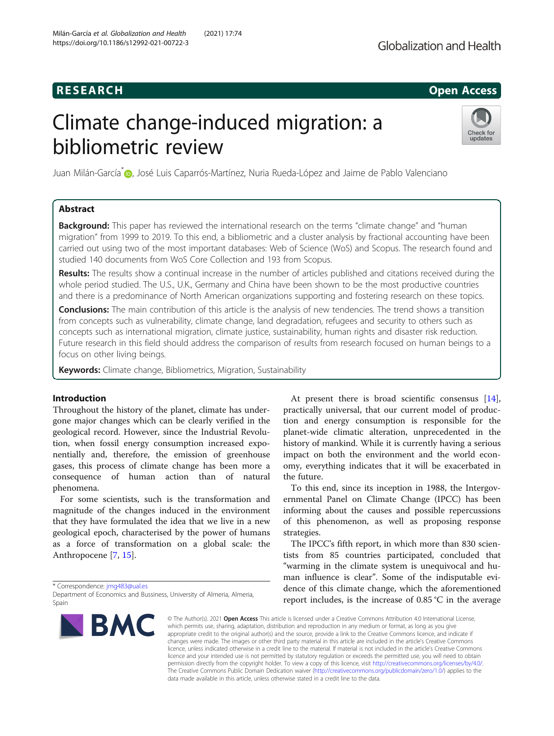## **RESEARCH CHILD CONTROL** CONTROL CONTROL CONTROL CONTROL CONTROL CONTROL CONTROL CONTROL CONTROL CONTROL CONTROL CONTROL CONTROL CONTROL CONTROL CONTROL CONTROL CONTROL CONTROL CONTROL CONTROL CONTROL CONTROL CONTROL CONTR

# Climate change-induced migration: a bibliometric review



Juan Milán-García<sup>[\\*](http://orcid.org/0000-0003-2718-0024)</sup> , José Luis Caparrós-Martínez, Nuria Rueda-López and Jaime de Pablo Valenciano

### Abstract

**Background:** This paper has reviewed the international research on the terms "climate change" and "human migration" from 1999 to 2019. To this end, a bibliometric and a cluster analysis by fractional accounting have been carried out using two of the most important databases: Web of Science (WoS) and Scopus. The research found and studied 140 documents from WoS Core Collection and 193 from Scopus.

Results: The results show a continual increase in the number of articles published and citations received during the whole period studied. The U.S., U.K., Germany and China have been shown to be the most productive countries and there is a predominance of North American organizations supporting and fostering research on these topics.

Conclusions: The main contribution of this article is the analysis of new tendencies. The trend shows a transition from concepts such as vulnerability, climate change, land degradation, refugees and security to others such as concepts such as international migration, climate justice, sustainability, human rights and disaster risk reduction. Future research in this field should address the comparison of results from research focused on human beings to a focus on other living beings.

Keywords: Climate change, Bibliometrics, Migration, Sustainability

#### Introduction

Throughout the history of the planet, climate has undergone major changes which can be clearly verified in the geological record. However, since the Industrial Revolution, when fossil energy consumption increased exponentially and, therefore, the emission of greenhouse gases, this process of climate change has been more a consequence of human action than of natural phenomena.

For some scientists, such is the transformation and magnitude of the changes induced in the environment that they have formulated the idea that we live in a new geological epoch, characterised by the power of humans as a force of transformation on a global scale: the Anthropocene [\[7](#page-8-0), [15](#page-8-0)].

\* Correspondence: [jmg483@ual.es](mailto:jmg483@ual.es)

Department of Economics and Bussiness, University of Almeria, Almeria, Spain



At present there is broad scientific consensus [\[14](#page-8-0)], practically universal, that our current model of production and energy consumption is responsible for the planet-wide climatic alteration, unprecedented in the history of mankind. While it is currently having a serious impact on both the environment and the world economy, everything indicates that it will be exacerbated in the future.

To this end, since its inception in 1988, the Intergovernmental Panel on Climate Change (IPCC) has been informing about the causes and possible repercussions of this phenomenon, as well as proposing response strategies.

The IPCC's fifth report, in which more than 830 scientists from 85 countries participated, concluded that "warming in the climate system is unequivocal and human influence is clear". Some of the indisputable evidence of this climate change, which the aforementioned report includes, is the increase of 0.85 °C in the average

© The Author(s), 2021 **Open Access** This article is licensed under a Creative Commons Attribution 4.0 International License, which permits use, sharing, adaptation, distribution and reproduction in any medium or format, as long as you give appropriate credit to the original author(s) and the source, provide a link to the Creative Commons licence, and indicate if changes were made. The images or other third party material in this article are included in the article's Creative Commons licence, unless indicated otherwise in a credit line to the material. If material is not included in the article's Creative Commons licence and your intended use is not permitted by statutory regulation or exceeds the permitted use, you will need to obtain permission directly from the copyright holder. To view a copy of this licence, visit [http://creativecommons.org/licenses/by/4.0/.](http://creativecommons.org/licenses/by/4.0/) The Creative Commons Public Domain Dedication waiver [\(http://creativecommons.org/publicdomain/zero/1.0/](http://creativecommons.org/publicdomain/zero/1.0/)) applies to the data made available in this article, unless otherwise stated in a credit line to the data.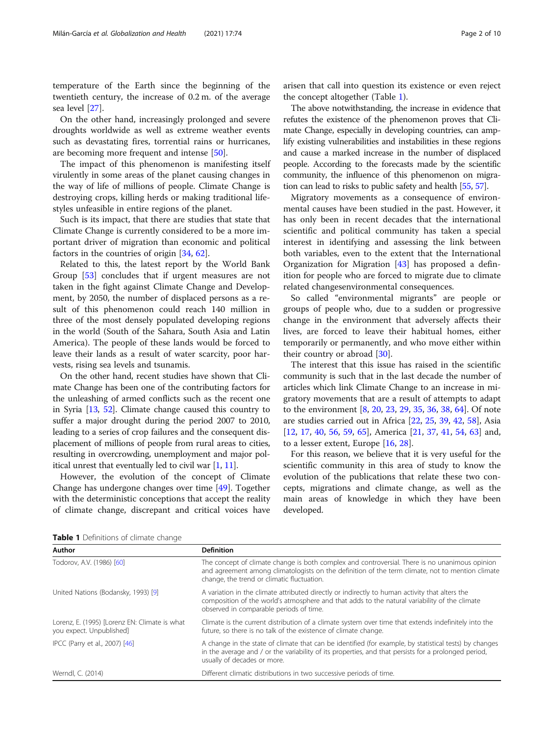temperature of the Earth since the beginning of the twentieth century, the increase of 0.2 m. of the average sea level [[27\]](#page-8-0).

On the other hand, increasingly prolonged and severe droughts worldwide as well as extreme weather events such as devastating fires, torrential rains or hurricanes, are becoming more frequent and intense [[50\]](#page-8-0).

The impact of this phenomenon is manifesting itself virulently in some areas of the planet causing changes in the way of life of millions of people. Climate Change is destroying crops, killing herds or making traditional lifestyles unfeasible in entire regions of the planet.

Such is its impact, that there are studies that state that Climate Change is currently considered to be a more important driver of migration than economic and political factors in the countries of origin [[34](#page-8-0), [62](#page-9-0)].

Related to this, the latest report by the World Bank Group [\[53](#page-8-0)] concludes that if urgent measures are not taken in the fight against Climate Change and Development, by 2050, the number of displaced persons as a result of this phenomenon could reach 140 million in three of the most densely populated developing regions in the world (South of the Sahara, South Asia and Latin America). The people of these lands would be forced to leave their lands as a result of water scarcity, poor harvests, rising sea levels and tsunamis.

On the other hand, recent studies have shown that Climate Change has been one of the contributing factors for the unleashing of armed conflicts such as the recent one in Syria [\[13](#page-8-0), [52\]](#page-8-0). Climate change caused this country to suffer a major drought during the period 2007 to 2010, leading to a series of crop failures and the consequent displacement of millions of people from rural areas to cities, resulting in overcrowding, unemployment and major political unrest that eventually led to civil war  $[1, 11]$  $[1, 11]$  $[1, 11]$  $[1, 11]$ .

However, the evolution of the concept of Climate Change has undergone changes over time [[49\]](#page-8-0). Together with the deterministic conceptions that accept the reality of climate change, discrepant and critical voices have arisen that call into question its existence or even reject the concept altogether (Table 1).

The above notwithstanding, the increase in evidence that refutes the existence of the phenomenon proves that Climate Change, especially in developing countries, can amplify existing vulnerabilities and instabilities in these regions and cause a marked increase in the number of displaced people. According to the forecasts made by the scientific community, the influence of this phenomenon on migration can lead to risks to public safety and health [\[55](#page-8-0), [57](#page-9-0)].

Migratory movements as a consequence of environmental causes have been studied in the past. However, it has only been in recent decades that the international scientific and political community has taken a special interest in identifying and assessing the link between both variables, even to the extent that the International Organization for Migration [\[43](#page-8-0)] has proposed a definition for people who are forced to migrate due to climate related changesenvironmental consequences.

So called "environmental migrants" are people or groups of people who, due to a sudden or progressive change in the environment that adversely affects their lives, are forced to leave their habitual homes, either temporarily or permanently, and who move either within their country or abroad [[30\]](#page-8-0).

The interest that this issue has raised in the scientific community is such that in the last decade the number of articles which link Climate Change to an increase in migratory movements that are a result of attempts to adapt to the environment [[8,](#page-8-0) [20,](#page-8-0) [23,](#page-8-0) [29](#page-8-0), [35](#page-8-0), [36](#page-8-0), [38](#page-8-0), [64\]](#page-9-0). Of note are studies carried out in Africa [\[22](#page-8-0), [25](#page-8-0), [39](#page-8-0), [42](#page-8-0), [58](#page-9-0)], Asia [[12,](#page-8-0) [17](#page-8-0), [40](#page-8-0), [56,](#page-9-0) [59,](#page-9-0) [65](#page-9-0)], America [[21,](#page-8-0) [37](#page-8-0), [41](#page-8-0), [54,](#page-8-0) [63\]](#page-9-0) and, to a lesser extent, Europe [[16](#page-8-0), [28](#page-8-0)].

For this reason, we believe that it is very useful for the scientific community in this area of study to know the evolution of the publications that relate these two concepts, migrations and climate change, as well as the main areas of knowledge in which they have been developed.

Table 1 Definitions of climate change

| Author                                                                    | <b>Definition</b>                                                                                                                                                                                                                                |
|---------------------------------------------------------------------------|--------------------------------------------------------------------------------------------------------------------------------------------------------------------------------------------------------------------------------------------------|
| Todorov, A.V. (1986) [60]                                                 | The concept of climate change is both complex and controversial. There is no unanimous opinion<br>and agreement among climatologists on the definition of the term climate, not to mention climate<br>change, the trend or climatic fluctuation. |
| United Nations (Bodansky, 1993) [9]                                       | A variation in the climate attributed directly or indirectly to human activity that alters the<br>composition of the world's atmosphere and that adds to the natural variability of the climate<br>observed in comparable periods of time.       |
| Lorenz, E. (1995) [Lorenz EN: Climate is what<br>you expect. Unpublished] | Climate is the current distribution of a climate system over time that extends indefinitely into the<br>future, so there is no talk of the existence of climate change.                                                                          |
| IPCC (Parry et al., 2007) [46]                                            | A change in the state of climate that can be identified (for example, by statistical tests) by changes<br>in the average and / or the variability of its properties, and that persists for a prolonged period,<br>usually of decades or more.    |
| Werndl, C. (2014)                                                         | Different climatic distributions in two successive periods of time.                                                                                                                                                                              |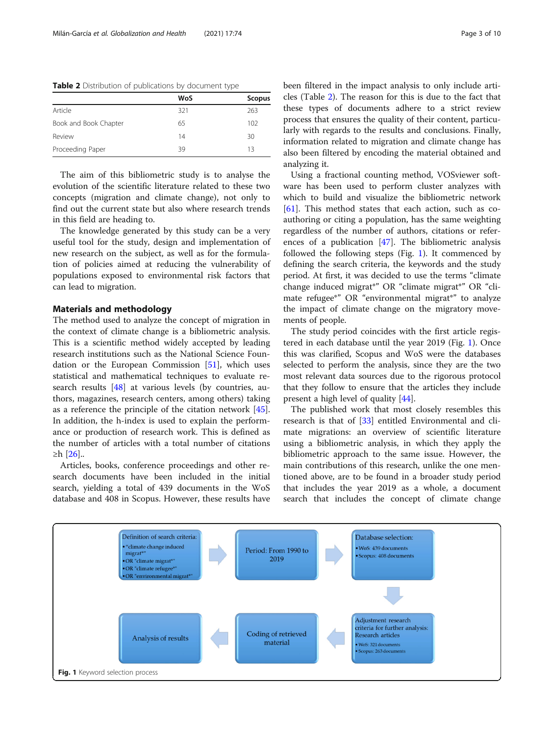Table 2 Distribution of publications by document type

|                       | WoS | <b>Scopus</b> |
|-----------------------|-----|---------------|
| Article               | 321 | 263           |
| Book and Book Chapter | 65  | 102           |
| Review                | 14  | 30            |
| Proceeding Paper      | 39  | 13            |

The aim of this bibliometric study is to analyse the evolution of the scientific literature related to these two concepts (migration and climate change), not only to find out the current state but also where research trends in this field are heading to.

The knowledge generated by this study can be a very useful tool for the study, design and implementation of new research on the subject, as well as for the formulation of policies aimed at reducing the vulnerability of populations exposed to environmental risk factors that can lead to migration.

#### Materials and methodology

The method used to analyze the concept of migration in the context of climate change is a bibliometric analysis. This is a scientific method widely accepted by leading research institutions such as the National Science Foundation or the European Commission [\[51](#page-8-0)], which uses statistical and mathematical techniques to evaluate research results [[48](#page-8-0)] at various levels (by countries, authors, magazines, research centers, among others) taking as a reference the principle of the citation network [\[45](#page-8-0)]. In addition, the h-index is used to explain the performance or production of research work. This is defined as the number of articles with a total number of citations ≥h [[26](#page-8-0)]..

Articles, books, conference proceedings and other research documents have been included in the initial search, yielding a total of 439 documents in the WoS database and 408 in Scopus. However, these results have been filtered in the impact analysis to only include articles (Table 2). The reason for this is due to the fact that these types of documents adhere to a strict review process that ensures the quality of their content, particularly with regards to the results and conclusions. Finally, information related to migration and climate change has also been filtered by encoding the material obtained and analyzing it.

Using a fractional counting method, VOSviewer software has been used to perform cluster analyzes with which to build and visualize the bibliometric network [[61\]](#page-9-0). This method states that each action, such as coauthoring or citing a population, has the same weighting regardless of the number of authors, citations or references of a publication  $[47]$  $[47]$ . The bibliometric analysis followed the following steps (Fig. 1). It commenced by defining the search criteria, the keywords and the study period. At first, it was decided to use the terms "climate change induced migrat\*" OR "climate migrat\*" OR "climate refugee\*" OR "environmental migrat\*" to analyze the impact of climate change on the migratory movements of people.

The study period coincides with the first article registered in each database until the year 2019 (Fig. 1). Once this was clarified, Scopus and WoS were the databases selected to perform the analysis, since they are the two most relevant data sources due to the rigorous protocol that they follow to ensure that the articles they include present a high level of quality [[44\]](#page-8-0).

The published work that most closely resembles this research is that of [\[33](#page-8-0)] entitled Environmental and climate migrations: an overview of scientific literature using a bibliometric analysis, in which they apply the bibliometric approach to the same issue. However, the main contributions of this research, unlike the one mentioned above, are to be found in a broader study period that includes the year 2019 as a whole, a document search that includes the concept of climate change

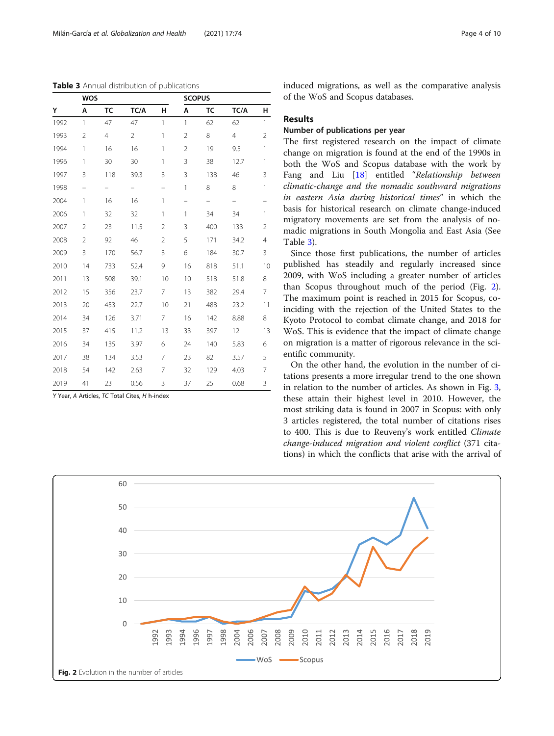Table 3 Annual distribution of publications

|      | <b>WOS</b>     |                |                |                | <b>SCOPUS</b>            |          |                   |                |  |
|------|----------------|----------------|----------------|----------------|--------------------------|----------|-------------------|----------------|--|
| Y    | A              | TC             | TC/A           | н              | A                        | TC       | TC/A              | н              |  |
| 1992 | $\mathbf{1}$   | 47             | 47             | $\mathbf{1}$   | $\mathbf{1}$             | 62       | 62                | $\mathbf{1}$   |  |
| 1993 | $\overline{2}$ | $\overline{4}$ | $\overline{2}$ | 1              | $\overline{2}$           | 8        | $\overline{4}$    | $\overline{2}$ |  |
| 1994 | 1              | 16             | 16             | 1              | $\overline{2}$           | 19       | 9.5               | 1              |  |
| 1996 | 1              | 30             | 30             | $\mathbf{1}$   | 3                        | 38       | 12.7              | 1              |  |
| 1997 | 3              | 118            | 39.3           | 3              | 3                        | 138      | 46                | 3              |  |
| 1998 |                | -              |                |                | 1                        | 8        | 8                 | 1              |  |
| 2004 | 1              | 16             | 16             | 1              | $\overline{\phantom{0}}$ | $\equiv$ | $\qquad \qquad -$ |                |  |
| 2006 | 1              | 32             | 32             | 1              | $\mathbf{1}$             | 34       | 34                | 1              |  |
| 2007 | $\overline{2}$ | 23             | 11.5           | $\overline{2}$ | 3                        | 400      | 133               | $\overline{2}$ |  |
| 2008 | $\overline{2}$ | 92             | 46             | $\overline{2}$ | 5                        | 171      | 34.2              | $\overline{4}$ |  |
| 2009 | 3              | 170            | 56.7           | 3              | 6                        | 184      | 30.7              | 3              |  |
| 2010 | 14             | 733            | 52.4           | 9              | 16                       | 818      | 51.1              | 10             |  |
| 2011 | 13             | 508            | 39.1           | 10             | 10                       | 518      | 51.8              | 8              |  |
| 2012 | 15             | 356            | 23.7           | 7              | 13                       | 382      | 29.4              | 7              |  |
| 2013 | 20             | 453            | 22.7           | 10             | 21                       | 488      | 23.2              | 11             |  |
| 2014 | 34             | 126            | 3.71           | 7              | 16                       | 142      | 8.88              | 8              |  |
| 2015 | 37             | 415            | 11.2           | 13             | 33                       | 397      | 12                | 13             |  |
| 2016 | 34             | 135            | 3.97           | 6              | 24                       | 140      | 5.83              | 6              |  |
| 2017 | 38             | 134            | 3.53           | 7              | 23                       | 82       | 3.57              | 5              |  |
| 2018 | 54             | 142            | 2.63           | 7              | 32                       | 129      | 4.03              | 7              |  |
| 2019 | 41             | 23             | 0.56           | 3              | 37                       | 25       | 0.68              | 3              |  |

Y Year, A Articles, TC Total Cites, H h-index

induced migrations, as well as the comparative analysis of the WoS and Scopus databases.

#### Results

#### Number of publications per year

The first registered research on the impact of climate change on migration is found at the end of the 1990s in both the WoS and Scopus database with the work by Fang and Liu [\[18\]](#page-8-0) entitled "Relationship between climatic-change and the nomadic southward migrations in eastern Asia during historical times" in which the basis for historical research on climate change-induced migratory movements are set from the analysis of nomadic migrations in South Mongolia and East Asia (See Table 3).

Since those first publications, the number of articles published has steadily and regularly increased since 2009, with WoS including a greater number of articles than Scopus throughout much of the period (Fig. 2). The maximum point is reached in 2015 for Scopus, coinciding with the rejection of the United States to the Kyoto Protocol to combat climate change, and 2018 for WoS. This is evidence that the impact of climate change on migration is a matter of rigorous relevance in the scientific community.

On the other hand, the evolution in the number of citations presents a more irregular trend to the one shown in relation to the number of articles. As shown in Fig. [3](#page-4-0), these attain their highest level in 2010. However, the most striking data is found in 2007 in Scopus: with only 3 articles registered, the total number of citations rises to 400. This is due to Reuveny's work entitled Climate change-induced migration and violent conflict (371 citations) in which the conflicts that arise with the arrival of

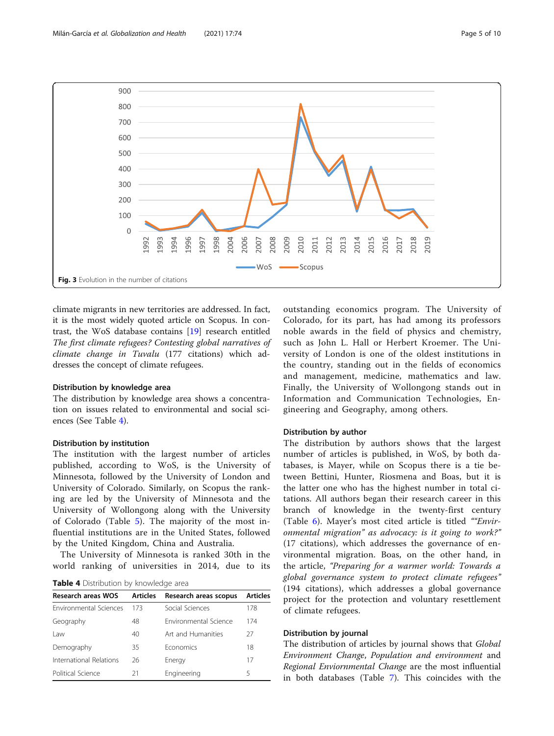<span id="page-4-0"></span>

climate migrants in new territories are addressed. In fact, it is the most widely quoted article on Scopus. In contrast, the WoS database contains [[19\]](#page-8-0) research entitled The first climate refugees? Contesting global narratives of climate change in Tuvalu (177 citations) which addresses the concept of climate refugees.

#### Distribution by knowledge area

The distribution by knowledge area shows a concentration on issues related to environmental and social sciences (See Table 4).

#### Distribution by institution

The institution with the largest number of articles published, according to WoS, is the University of Minnesota, followed by the University of London and University of Colorado. Similarly, on Scopus the ranking are led by the University of Minnesota and the University of Wollongong along with the University of Colorado (Table [5](#page-5-0)). The majority of the most influential institutions are in the United States, followed by the United Kingdom, China and Australia.

The University of Minnesota is ranked 30th in the world ranking of universities in 2014, due to its

| Table 4 Distribution by knowledge area |  |  |  |
|----------------------------------------|--|--|--|
|----------------------------------------|--|--|--|

| <b>Research areas WOS</b>     | <b>Articles</b> | Research areas scopus        | <b>Articles</b> |
|-------------------------------|-----------------|------------------------------|-----------------|
| <b>Environmental Sciences</b> | 173             | Social Sciences              | 178             |
| Geography                     | 48              | <b>Environmental Science</b> | 174             |
| l aw                          | 40              | Art and Humanities           | 27              |
| Demography                    | 35              | <b>F</b> conomics            | 18              |
| International Relations       | 26              | Energy                       | 17              |
| Political Science             | 21              | Engineering                  | 5               |

outstanding economics program. The University of Colorado, for its part, has had among its professors noble awards in the field of physics and chemistry, such as John L. Hall or Herbert Kroemer. The University of London is one of the oldest institutions in the country, standing out in the fields of economics and management, medicine, mathematics and law. Finally, the University of Wollongong stands out in Information and Communication Technologies, Engineering and Geography, among others.

#### Distribution by author

The distribution by authors shows that the largest number of articles is published, in WoS, by both databases, is Mayer, while on Scopus there is a tie between Bettini, Hunter, Riosmena and Boas, but it is the latter one who has the highest number in total citations. All authors began their research career in this branch of knowledge in the twenty-first century (Table [6](#page-5-0)). Mayer's most cited article is titled ""Environmental migration" as advocacy: is it going to work?" (17 citations), which addresses the governance of environmental migration. Boas, on the other hand, in the article, "Preparing for a warmer world: Towards a global governance system to protect climate refugees" (194 citations), which addresses a global governance project for the protection and voluntary resettlement of climate refugees.

#### Distribution by journal

The distribution of articles by journal shows that *Global* Environment Change, Population and environment and Regional Enviornmental Change are the most influential in both databases (Table [7\)](#page-6-0). This coincides with the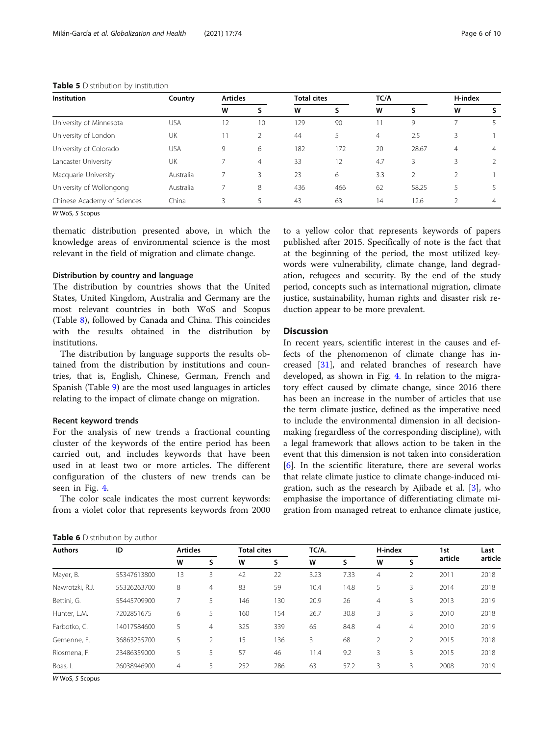| <b>Institution</b>          | Country    | <b>Articles</b> |                |     | <b>Total cites</b> |                | TC/A  |   | H-index      |  |
|-----------------------------|------------|-----------------|----------------|-----|--------------------|----------------|-------|---|--------------|--|
|                             |            | W               | s              | W   | S.                 | W              | s     | W | s            |  |
| University of Minnesota     | <b>USA</b> | 12              | 10             | 129 | 90                 |                | 9     |   | 5.           |  |
| University of London        | UK         | 11              |                | 44  | 5                  | $\overline{4}$ | 2.5   | 3 |              |  |
| University of Colorado      | <b>USA</b> | 9               | 6              | 182 | 172                | 20             | 28.67 | 4 | 4            |  |
| Lancaster University        | UK         |                 | $\overline{4}$ | 33  | 12                 | 4.7            | 3     | 3 | $\mathbf{2}$ |  |
| Macquarie University        | Australia  |                 |                | 23  | 6                  | 3.3            |       |   |              |  |
| University of Wollongong    | Australia  |                 | 8              | 436 | 466                | 62             | 58.25 | 5 | 5.           |  |
| Chinese Academy of Sciences | China      |                 | 5.             | 43  | 63                 | 14             | 12.6  |   | 4            |  |

#### <span id="page-5-0"></span>Table 5 Distribution by institution

W WoS, S Scopus

thematic distribution presented above, in which the knowledge areas of environmental science is the most relevant in the field of migration and climate change.

#### Distribution by country and language

The distribution by countries shows that the United States, United Kingdom, Australia and Germany are the most relevant countries in both WoS and Scopus (Table [8\)](#page-6-0), followed by Canada and China. This coincides with the results obtained in the distribution by institutions.

The distribution by language supports the results obtained from the distribution by institutions and countries, that is, English, Chinese, German, French and Spanish (Table [9](#page-6-0)) are the most used languages in articles relating to the impact of climate change on migration.

#### Recent keyword trends

For the analysis of new trends a fractional counting cluster of the keywords of the entire period has been carried out, and includes keywords that have been used in at least two or more articles. The different configuration of the clusters of new trends can be seen in Fig. [4.](#page-7-0)

The color scale indicates the most current keywords: from a violet color that represents keywords from 2000

|  | Table 6 Distribution by author |  |
|--|--------------------------------|--|
|--|--------------------------------|--|

to a yellow color that represents keywords of papers published after 2015. Specifically of note is the fact that at the beginning of the period, the most utilized keywords were vulnerability, climate change, land degradation, refugees and security. By the end of the study period, concepts such as international migration, climate justice, sustainability, human rights and disaster risk reduction appear to be more prevalent.

#### **Discussion**

In recent years, scientific interest in the causes and effects of the phenomenon of climate change has increased [[31](#page-8-0)], and related branches of research have developed, as shown in Fig. [4](#page-7-0). In relation to the migratory effect caused by climate change, since 2016 there has been an increase in the number of articles that use the term climate justice, defined as the imperative need to include the environmental dimension in all decisionmaking (regardless of the corresponding discipline), with a legal framework that allows action to be taken in the event that this dimension is not taken into consideration [[6\]](#page-7-0). In the scientific literature, there are several works that relate climate justice to climate change-induced migration, such as the research by Ajibade et al. [[3\]](#page-7-0), who emphasise the importance of differentiating climate migration from managed retreat to enhance climate justice,

| <b>Authors</b>  | ID          | <b>Articles</b> |                |     | <b>Total cites</b> |      | TC/A. |                | H-index        |         | Last    |
|-----------------|-------------|-----------------|----------------|-----|--------------------|------|-------|----------------|----------------|---------|---------|
|                 |             | W               | s              | W   | S                  | W    | s     | W              | s              | article | article |
| Mayer, B.       | 55347613800 | 13              | 3              | 42  | 22                 | 3.23 | 7.33  | 4              |                | 2011    | 2018    |
| Nawrotzki, R.J. | 55326263700 | 8               | 4              | 83  | 59                 | 10.4 | 14.8  | 5              | 3              | 2014    | 2018    |
| Bettini, G.     | 55445709900 |                 | 5              | 146 | 130                | 20.9 | 26    | $\overline{4}$ | 3              | 2013    | 2019    |
| Hunter, L.M.    | 7202851675  | 6               | 5              | 160 | 154                | 26.7 | 30.8  | 3              | 3              | 2010    | 2018    |
| Farbotko, C.    | 14017584600 | 5.              | $\overline{4}$ | 325 | 339                | 65   | 84.8  | $\overline{4}$ | $\overline{4}$ | 2010    | 2019    |
| Gemenne. F.     | 36863235700 | 5               | $\overline{2}$ | 15  | 136                | 3    | 68    | 2              | 2              | 2015    | 2018    |
| Riosmena, F.    | 23486359000 | 5               | 5              | 57  | 46                 | 11.4 | 9.2   | 3              | 3              | 2015    | 2018    |
| Boas, I.        | 26038946900 | 4               | 5              | 252 | 286                | 63   | 57.2  | 3              | 3              | 2008    | 2019    |

W WoS, S Scopus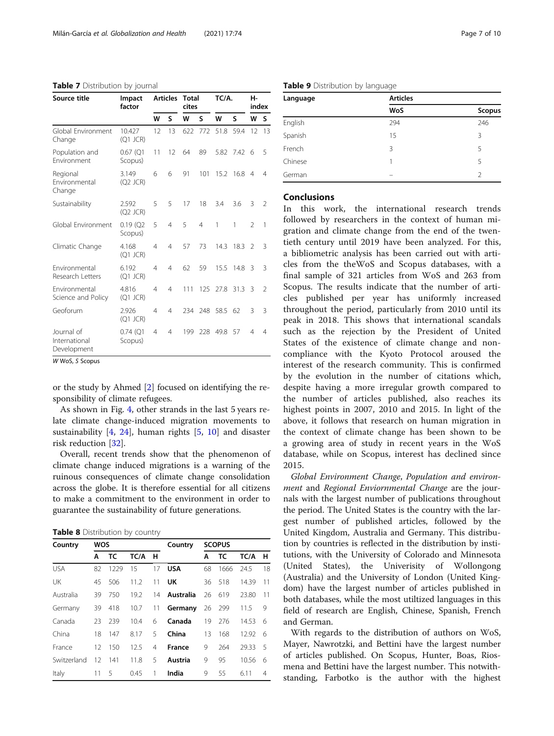<span id="page-6-0"></span>Table 7 Distribution by journal

| Source title                               | Impact<br>factor      |                | <b>Articles</b> |     | <b>Total</b><br>cites |              | TC/A. |                | н-<br>index    |  |
|--------------------------------------------|-----------------------|----------------|-----------------|-----|-----------------------|--------------|-------|----------------|----------------|--|
|                                            |                       | W              | S               | w   | S                     | W            | S     | W              | S              |  |
| Global Environment<br>Change               | 10.427<br>$(Q1$ JCR)  | 12             | 13              | 622 | 772                   | 51.8         | 59.4  | 12             | 13             |  |
| Population and<br>Environment              | $0.67$ (Q1<br>Scopus) | 11             | 12              | 64  | 89                    | 5.82         | 7.42  | 6              | 5              |  |
| Regional<br>Environmental<br>Change        | 3.149<br>$(Q2$ JCR)   | 6              | 6               | 91  | 101                   | 15.2         | 16.8  | $\overline{4}$ | $\overline{4}$ |  |
| Sustainability                             | 2.592<br>$(Q2$ JCR)   | 5              | 5               | 17  | 18                    | 3.4          | 3.6   | 3              | $\mathfrak{D}$ |  |
| Global Environment                         | 0.19(Q2)<br>Scopus)   | 5              | $\overline{4}$  | 5   | $\overline{4}$        | 1            | 1     | $\mathfrak{D}$ | $\mathbf{1}$   |  |
| Climatic Change                            | 4.168<br>$(Q1$ JCR)   | $\overline{4}$ | $\overline{4}$  | 57  | 73                    | 14.3         | 18.3  | $\mathcal{D}$  | 3              |  |
| Environmental<br>Research Letters          | 6.192<br>$(Q1$ JCR)   | $\overline{4}$ | $\overline{4}$  | 62  | 59                    | 15.5         | 14.8  | 3              | 3              |  |
| Environmental<br>Science and Policy        | 4.816<br>$(Q1$ JCR)   | $\overline{4}$ | $\overline{4}$  | 111 | 125                   | 27.8         | 31.3  | 3              | $\mathfrak{D}$ |  |
| Geoforum                                   | 2.926<br>$(Q1$ JCR)   | $\overline{4}$ | $\overline{4}$  |     | 234 248               | 58.5 62      |       | 3              | 3              |  |
| Journal of<br>International<br>Development | 0.74(Q1)<br>Scopus)   | $\overline{4}$ | $\overline{4}$  |     |                       | 199 228 49.8 | 57    | $\overline{4}$ | $\overline{4}$ |  |

W WoS, S Scopus

or the study by Ahmed [[2\]](#page-7-0) focused on identifying the responsibility of climate refugees.

As shown in Fig. [4,](#page-7-0) other strands in the last 5 years relate climate change-induced migration movements to sustainability [\[4](#page-7-0), [24](#page-8-0)], human rights [[5,](#page-7-0) [10\]](#page-8-0) and disaster risk reduction [[32\]](#page-8-0).

Overall, recent trends show that the phenomenon of climate change induced migrations is a warning of the ruinous consequences of climate change consolidation across the globe. It is therefore essential for all citizens to make a commitment to the environment in order to guarantee the sustainability of future generations.

Table 8 Distribution by country

| Country     | wos |      | Country |    | <b>SCOPUS</b>    |    |      |       |    |
|-------------|-----|------|---------|----|------------------|----|------|-------|----|
|             | Α   | ТC   | TC/A    | H  |                  | А  | ТC   | TC/A  | н  |
| <b>USA</b>  | 82  | 1229 | 15      | 17 | <b>USA</b>       | 68 | 1666 | 24.5  | 18 |
| UK          | 45  | 506  | 11.2    | 11 | UK               | 36 | 518  | 14.39 | 11 |
| Australia   | 39  | 750  | 19.2    | 14 | <b>Australia</b> | 26 | 619  | 23.80 | 11 |
| Germany     | 39  | 418  | 10.7    | 11 | Germany          | 26 | 299  | 11.5  | 9  |
| Canada      | 23  | 239  | 10.4    | 6  | Canada           | 19 | 276  | 14.53 | 6  |
| China       | 18  | 147  | 8.17    | 5  | China            | 13 | 168  | 12.92 | 6  |
| France      | 12  | 150  | 12.5    | 4  | France           | 9  | 264  | 29.33 | -5 |
| Switzerland | 12  | 141  | 11.8    | 5  | Austria          | 9  | 95   | 10.56 | 6  |
| Italy       | 11  | 5    | 0.45    | 1  | India            | 9  | 55   | 6.11  | 4  |

Table 9 Distribution by language

| Language | <b>Articles</b> |        |  |  |  |  |
|----------|-----------------|--------|--|--|--|--|
|          | WoS             | Scopus |  |  |  |  |
| English  | 294             | 246    |  |  |  |  |
| Spanish  | 15              | 3      |  |  |  |  |
| French   | 3               | 5      |  |  |  |  |
| Chinese  | 1               | 5      |  |  |  |  |
| German   |                 | 2      |  |  |  |  |

#### Conclusions

In this work, the international research trends followed by researchers in the context of human migration and climate change from the end of the twentieth century until 2019 have been analyzed. For this, a bibliometric analysis has been carried out with articles from the theWoS and Scopus databases, with a final sample of 321 articles from WoS and 263 from Scopus. The results indicate that the number of articles published per year has uniformly increased throughout the period, particularly from 2010 until its peak in 2018. This shows that international scandals such as the rejection by the President of United States of the existence of climate change and noncompliance with the Kyoto Protocol aroused the interest of the research community. This is confirmed by the evolution in the number of citations which, despite having a more irregular growth compared to the number of articles published, also reaches its highest points in 2007, 2010 and 2015. In light of the above, it follows that research on human migration in the context of climate change has been shown to be a growing area of study in recent years in the WoS database, while on Scopus, interest has declined since 2015.

Global Environment Change, Population and environment and Regional Enviornmental Change are the journals with the largest number of publications throughout the period. The United States is the country with the largest number of published articles, followed by the United Kingdom, Australia and Germany. This distribution by countries is reflected in the distribution by institutions, with the University of Colorado and Minnesota (United States), the Univerisity of Wollongong (Australia) and the University of London (United Kingdom) have the largest number of articles published in both databases, while the most utiltized languages in this field of research are English, Chinese, Spanish, French and German.

With regards to the distribution of authors on WoS, Mayer, Nawrotzki, and Bettini have the largest number of articles published. On Scopus, Hunter, Boas, Riosmena and Bettini have the largest number. This notwithstanding, Farbotko is the author with the highest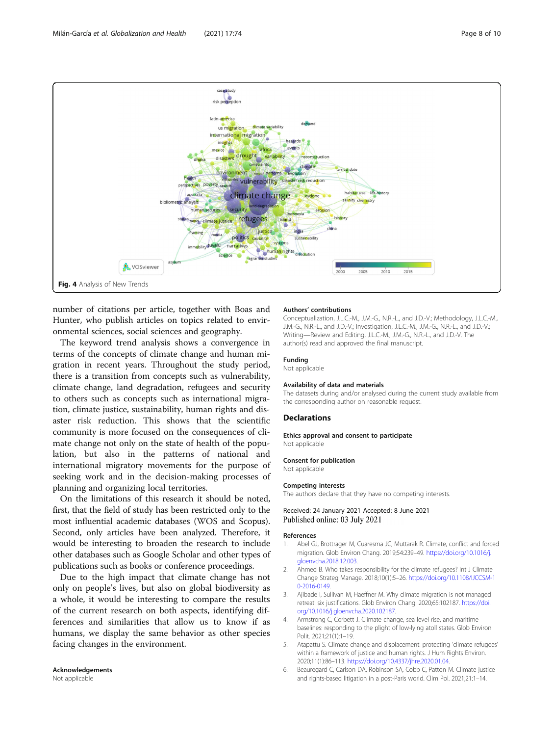<span id="page-7-0"></span>

number of citations per article, together with Boas and Hunter, who publish articles on topics related to environmental sciences, social sciences and geography.

The keyword trend analysis shows a convergence in terms of the concepts of climate change and human migration in recent years. Throughout the study period, there is a transition from concepts such as vulnerability, climate change, land degradation, refugees and security to others such as concepts such as international migration, climate justice, sustainability, human rights and disaster risk reduction. This shows that the scientific community is more focused on the consequences of climate change not only on the state of health of the population, but also in the patterns of national and international migratory movements for the purpose of seeking work and in the decision-making processes of planning and organizing local territories.

On the limitations of this research it should be noted, first, that the field of study has been restricted only to the most influential academic databases (WOS and Scopus). Second, only articles have been analyzed. Therefore, it would be interesting to broaden the research to include other databases such as Google Scholar and other types of publications such as books or conference proceedings.

Due to the high impact that climate change has not only on people's lives, but also on global biodiversity as a whole, it would be interesting to compare the results of the current research on both aspects, identifying differences and similarities that allow us to know if as humans, we display the same behavior as other species facing changes in the environment.

#### Acknowledgements Not applicable

#### Authors' contributions

Conceptualization, J.L.C.-M., J.M.-G., N.R.-L., and J.D.-V.; Methodology, J.L.C.-M., J.M.-G., N.R.-L., and J.D.-V.; Investigation, J.L.C.-M., J.M.-G., N.R.-L., and J.D.-V.; Writing—Review and Editing, J.L.C.-M., J.M.-G., N.R.-L., and J.D.-V. The author(s) read and approved the final manuscript.

#### Funding Not applicable

#### Availability of data and materials

The datasets during and/or analysed during the current study available from the corresponding author on reasonable request.

#### **Declarations**

Ethics approval and consent to participate Not applicable

Consent for publication Not applicable

#### Competing interests

The authors declare that they have no competing interests.

Received: 24 January 2021 Accepted: 8 June 2021 Published online: 03 July 2021

#### References

- Abel GJ, Brottrager M, Cuaresma JC, Muttarak R. Climate, conflict and forced migration. Glob Environ Chang. 2019;54:239–49. [https://doi.org/10.1016/j.](https://doi.org/10.1016/j.gloenvcha.2018.12.003) [gloenvcha.2018.12.003.](https://doi.org/10.1016/j.gloenvcha.2018.12.003)
- 2. Ahmed B. Who takes responsibility for the climate refugees? Int J Climate Change Strateg Manage. 2018;10(1):5–26. [https://doi.org/10.1108/IJCCSM-1](https://doi.org/10.1108/IJCCSM-10-2016-0149) [0-2016-0149.](https://doi.org/10.1108/IJCCSM-10-2016-0149)
- 3. Ajibade I, Sullivan M, Haeffner M. Why climate migration is not managed retreat: six justifications. Glob Environ Chang. 2020;65:102187. [https://doi.](https://doi.org/10.1016/j.gloenvcha.2020.102187) [org/10.1016/j.gloenvcha.2020.102187.](https://doi.org/10.1016/j.gloenvcha.2020.102187)
- 4. Armstrong C, Corbett J. Climate change, sea level rise, and maritime baselines: responding to the plight of low-lying atoll states. Glob Environ Polit. 2021;21(1):1–19.
- 5. Atapattu S. Climate change and displacement: protecting 'climate refugees' within a framework of justice and human rights. J Hum Rights Environ. 2020;11(1):86–113. <https://doi.org/10.4337/jhre.2020.01.04>.
- 6. Beauregard C, Carlson DA, Robinson SA, Cobb C, Patton M. Climate justice and rights-based litigation in a post-Paris world. Clim Pol. 2021;21:1–14.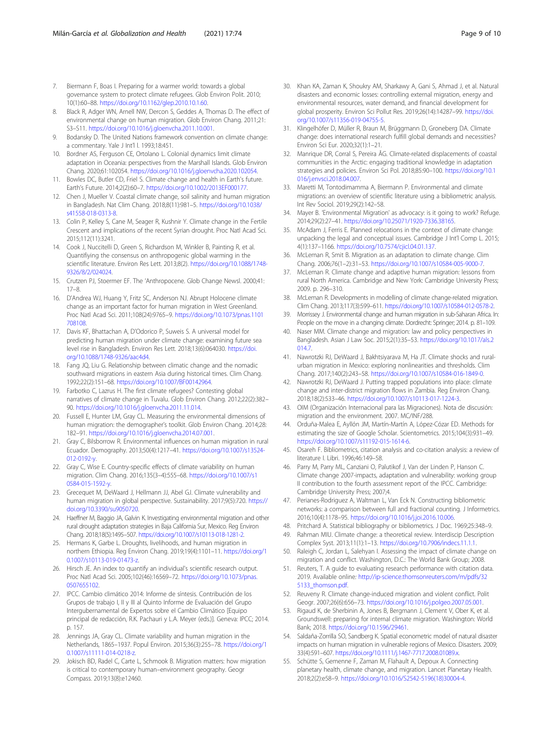- <span id="page-8-0"></span>7. Biermann F, Boas I. Preparing for a warmer world: towards a global governance system to protect climate refugees. Glob Environ Polit. 2010; 10(1):60–88. [https://doi.org/10.1162/glep.2010.10.1.60.](https://doi.org/10.1162/glep.2010.10.1.60)
- 8. Black R, Adger WN, Arnell NW, Dercon S, Geddes A, Thomas D. The effect of environmental change on human migration. Glob Environ Chang. 2011;21: S3–S11. <https://doi.org/10.1016/j.gloenvcha.2011.10.001>.
- Bodansky D. The United Nations framework convention on climate change: a commentary. Yale J Int'l l. 1993;18:451.
- 10. Bordner AS, Ferguson CE, Ortolano L. Colonial dynamics limit climate adaptation in Oceania: perspectives from the Marshall Islands. Glob Environ Chang. 2020;61:102054. <https://doi.org/10.1016/j.gloenvcha.2020.102054>.
- 11. Bowles DC, Butler CD, Friel S. Climate change and health in Earth's future. Earth's Future. 2014;2(2):60–7. <https://doi.org/10.1002/2013EF000177>.
- 12. Chen J, Mueller V. Coastal climate change, soil salinity and human migration in Bangladesh. Nat Clim Chang. 2018;8(11):981–5. [https://doi.org/10.1038/](https://doi.org/10.1038/s41558-018-0313-8) [s41558-018-0313-8.](https://doi.org/10.1038/s41558-018-0313-8)
- 13. Colin P, Kelley S, Cane M, Seager R, Kushnir Y. Climate change in the Fertile Crescent and implications of the recent Syrian drought. Proc Natl Acad Sci. 2015;112(11):3241.
- 14. Cook J, Nuccitelli D, Green S, Richardson M, Winkler B, Painting R, et al. Quantifiying the consensus on anthropogenic global warming in the scientific literature. Environ Res Lett. 2013;8(2). [https://doi.org/10.1088/1748-](https://doi.org/10.1088/1748-9326/8/2/024024) [9326/8/2/024024.](https://doi.org/10.1088/1748-9326/8/2/024024)
- 15. Crutzen PJ, Stoermer EF. The 'Anthropocene. Glob Change Newsl. 2000;41: 17–8.
- 16. D'Andrea WJ, Huang Y, Fritz SC, Anderson NJ. Abrupt Holocene climate change as an important factor for human migration in West Greenland. Proc Natl Acad Sci. 2011;108(24):9765–9. [https://doi.org/10.1073/pnas.1101](https://doi.org/10.1073/pnas.1101708108) [708108](https://doi.org/10.1073/pnas.1101708108).
- 17. Davis KF, Bhattachan A, D'Odorico P, Suweis S. A universal model for predicting human migration under climate change: examining future sea level rise in Bangladesh. Environ Res Lett. 2018;13(6):064030. [https://doi.](https://doi.org/10.1088/1748-9326/aac4d4) [org/10.1088/1748-9326/aac4d4.](https://doi.org/10.1088/1748-9326/aac4d4)
- 18. Fang JQ, Liu G. Relationship between climatic change and the nomadic southward migrations in eastern Asia during historical times. Clim Chang. 1992;22(2):151–68. [https://doi.org/10.1007/BF00142964.](https://doi.org/10.1007/BF00142964)
- 19. Farbotko C, Lazrus H. The first climate refugees? Contesting global narratives of climate change in Tuvalu. Glob Environ Chang. 2012;22(2):382– 90. [https://doi.org/10.1016/j.gloenvcha.2011.11.014.](https://doi.org/10.1016/j.gloenvcha.2011.11.014)
- 20. Fussell E, Hunter LM, Gray CL. Measuring the environmental dimensions of human migration: the demographer's toolkit. Glob Environ Chang. 2014;28: 182–91. <https://doi.org/10.1016/j.gloenvcha.2014.07.001>.
- 21. Gray C, Bilsborrow R. Environmental influences on human migration in rural Ecuador. Demography. 2013;50(4):1217–41. [https://doi.org/10.1007/s13524-](https://doi.org/10.1007/s13524-012-0192-y) [012-0192-y.](https://doi.org/10.1007/s13524-012-0192-y)
- 22. Gray C, Wise E. Country-specific effects of climate variability on human migration. Clim Chang. 2016;135(3–4):555–68. [https://doi.org/10.1007/s1](https://doi.org/10.1007/s10584-015-1592-y) [0584-015-1592-y.](https://doi.org/10.1007/s10584-015-1592-y)
- 23. Grecequet M, DeWaard J, Hellmann JJ, Abel GJ. Climate vulnerability and human migration in global perspective. Sustainability. 2017;9(5):720. [https://](https://doi.org/10.3390/su9050720) [doi.org/10.3390/su9050720](https://doi.org/10.3390/su9050720).
- 24. Haeffner M, Baggio JA, Galvin K, Investigating environmental migration and other rural drought adaptation strategies in Baja California Sur, Mexico. Reg Environ Chang. 2018;18(5):1495–507. [https://doi.org/10.1007/s10113-018-1281-2.](https://doi.org/10.1007/s10113-018-1281-2)
- 25. Hermans K, Garbe L. Droughts, livelihoods, and human migration in northern Ethiopia. Reg Environ Chang. 2019;19(4):1101–11. [https://doi.org/1](https://doi.org/10.1007/s10113-019-01473-z) [0.1007/s10113-019-01473-z](https://doi.org/10.1007/s10113-019-01473-z).
- 26. Hirsch JE. An index to quantify an individual's scientific research output. Proc Natl Acad Sci. 2005;102(46):16569–72. [https://doi.org/10.1073/pnas.](https://doi.org/10.1073/pnas.0507655102) [0507655102.](https://doi.org/10.1073/pnas.0507655102)
- 27. IPCC. Cambio climático 2014: Informe de síntesis. Contribución de los Grupos de trabajo I, II y III al Quinto Informe de Evaluación del Grupo Intergubernamental de Expertos sobre el Cambio Climático [Equipo principal de redacción, R.K. Pachauri y L.A. Meyer (eds.)]. Geneva: IPCC; 2014. p. 157.
- 28. Jennings JA, Gray CL. Climate variability and human migration in the Netherlands, 1865–1937. Popul Environ. 2015;36(3):255–78. [https://doi.org/1](https://doi.org/10.1007/s11111-014-0218-z) [0.1007/s11111-014-0218-z.](https://doi.org/10.1007/s11111-014-0218-z)
- 29. Jokisch BD, Radel C, Carte L, Schmook B. Migration matters: how migration is critical to contemporary human–environment geography. Geogr Compass. 2019;13(8):e12460.
- 30. Khan KA, Zaman K, Shoukry AM, Sharkawy A, Gani S, Ahmad J, et al. Natural disasters and economic losses: controlling external migration, energy and environmental resources, water demand, and financial development for global prosperity. Environ Sci Pollut Res. 2019;26(14):14287–99. [https://doi.](https://doi.org/10.1007/s11356-019-04755-5) [org/10.1007/s11356-019-04755-5.](https://doi.org/10.1007/s11356-019-04755-5)
- 31. Klingelhöfer D, Müller R, Braun M, Brüggmann D, Groneberg DA. Climate change: does international research fulfill global demands and necessities? Environ Sci Eur. 2020;32(1):1–21.
- 32. Manrique DR, Corral S, Pereira ÂG. Climate-related displacements of coastal communities in the Arctic: engaging traditional knowledge in adaptation strategies and policies. Environ Sci Pol. 2018;85:90–100. [https://doi.org/10.1](https://doi.org/10.1016/j.envsci.2018.04.007) [016/j.envsci.2018.04.007.](https://doi.org/10.1016/j.envsci.2018.04.007)
- 33. Maretti M, Tontodimamma A, Biermann P. Environmental and climate migrations: an overview of scientific literature using a bibliometric analysis. Int Rev Sociol. 2019;29(2):142–58.
- 34. Mayer B. 'Environmental Migration' as advocacy: is it going to work? Refuge. 2014;29(2):27–41. <https://doi.org/10.25071/1920-7336.38165>.
- 35. McAdam J, Ferris E. Planned relocations in the context of climate change: unpacking the legal and conceptual issues. Cambridge J Int'l Comp L. 2015; 4(1):137–1166. [https://doi.org/10.7574/cjicl.04.01.137.](https://doi.org/10.7574/cjicl.04.01.137)
- 36. McLeman R, Smit B. Migration as an adaptation to climate change. Clim Chang. 2006;76(1–2):31–53. [https://doi.org/10.1007/s10584-005-9000-7.](https://doi.org/10.1007/s10584-005-9000-7)
- 37. McLeman R. Climate change and adaptive human migration: lessons from rural North America. Cambridge and New York: Cambridge University Press; 2009. p. 296–310.
- 38. McLeman R. Developments in modelling of climate change-related migration. Clim Chang. 2013;117(3):599–611. [https://doi.org/10.1007/s10584-012-0578-2.](https://doi.org/10.1007/s10584-012-0578-2)
- 39. Morrissey J. Environmental change and human migration in sub-Saharan Africa. In: People on the move in a changing climate. Dordrecht: Springer; 2014. p. 81-109.
- 40. Naser MM. Climate change and migration: law and policy perspectives in Bangladesh. Asian J Law Soc. 2015;2(1):35–53. [https://doi.org/10.1017/als.2](https://doi.org/10.1017/als.2014.7) [014.7.](https://doi.org/10.1017/als.2014.7)
- 41. Nawrotzki RJ, DeWaard J, Bakhtsiyarava M, Ha JT. Climate shocks and ruralurban migration in Mexico: exploring nonlinearities and thresholds. Clim Chang. 2017;140(2):243–58. <https://doi.org/10.1007/s10584-016-1849-0>.
- 42. Nawrotzki RJ, DeWaard J. Putting trapped populations into place: climate change and inter-district migration flows in Zambia. Reg Environ Chang. 2018;18(2):533–46. <https://doi.org/10.1007/s10113-017-1224-3>.
- 43. OIM (Organización Internacional para las Migraciones). Nota de discusión: migration and the environment. 2007. MC/INF/288.
- 44. Orduña-Malea E, Ayllón JM, Martín-Martín A, López-Cózar ED. Methods for estimating the size of Google Scholar. Scientometrics. 2015;104(3):931–49. <https://doi.org/10.1007/s11192-015-1614-6>.
- 45. Osareh F. Bibliometrics, citation analysis and co-citation analysis: a review of literature I. Libri. 1996;46:149–58.
- 46. Parry M, Parry ML, Canziani O, Palutikof J, Van der Linden P, Hanson C. Climate change 2007-impacts, adaptation and vulnerability: working group II contribution to the fourth assessment report of the IPCC. Cambridge: Cambridge University Press; 2007;4.
- 47. Perianes-Rodriguez A, Waltman L, Van Eck N. Constructing bibliometric networks: a comparison between full and fractional counting. J Informetrics. 2016;10(4):1178–95. [https://doi.org/10.1016/j.joi.2016.10.006.](https://doi.org/10.1016/j.joi.2016.10.006)
- 48. Pritchard A. Statistical bibliography or bibliometrics. J Doc. 1969;25:348–9.
- 49. Rahman MIU. Climate change: a theoretical review. Interdiscip Description Complex Syst. 2013;11(1):1–13. <https://doi.org/10.7906/indecs.11.1.1>.
- 50. Raleigh C, Jordan L, Salehyan I. Assessing the impact of climate change on migration and conflict. Washington, D.C.: The World Bank Group; 2008.
- Reuters, T. A guide to evaluating research performance with citation data. 2019. Available online: [http://ip-science.thomsonreuters.com/m/pdfs/32](http://ip-science.thomsonreuters.com/m/pdfs/325133_thomson.pdf) [5133\\_thomson.pdf](http://ip-science.thomsonreuters.com/m/pdfs/325133_thomson.pdf).
- 52. Reuveny R. Climate change-induced migration and violent conflict. Polit Geogr. 2007;26(6):656–73. [https://doi.org/10.1016/j.polgeo.2007.05.001.](https://doi.org/10.1016/j.polgeo.2007.05.001)
- 53. Rigaud K, de Sherbinin A, Jones B, Bergmann J, Clement V, Ober K, et al. Groundswell: preparing for internal climate migration. Washington: World Bank; 2018. [https://doi.org/10.1596/29461.](https://doi.org/10.1596/29461)
- 54. Saldaña-Zorrilla SO, Sandberg K. Spatial econometric model of natural disaster impacts on human migration in vulnerable regions of Mexico. Disasters. 2009; 33(4):591–607. <https://doi.org/10.1111/j.1467-7717.2008.01089.x>.
- 55. Schütte S, Gemenne F, Zaman M, Flahault A, Depoux A. Connecting planetary health, climate change, and migration. Lancet Planetary Health. 2018;2(2):e58–9. [https://doi.org/10.1016/S2542-5196\(18\)30004-4.](https://doi.org/10.1016/S2542-5196(18)30004-4)